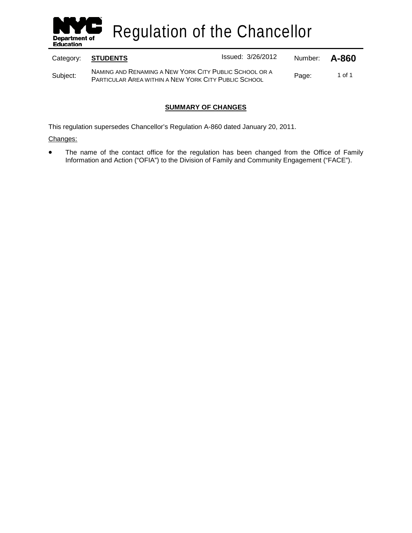

Regulation of the Chancellor

| Category: | <b>STUDENTS</b>                                                                                                       | Issued: 3/26/2012 | Number: | A-860  |
|-----------|-----------------------------------------------------------------------------------------------------------------------|-------------------|---------|--------|
| Subject:  | NAMING AND RENAMING A NEW YORK CITY PUBLIC SCHOOL OR A<br><b>PARTICULAR AREA WITHIN A NEW YORK CITY PUBLIC SCHOOL</b> |                   | Page:   | 1 of 1 |

# **SUMMARY OF CHANGES**

This regulation supersedes Chancellor's Regulation A-860 dated January 20, 2011.

Changes:

• The name of the contact office for the regulation has been changed from the Office of Family Information and Action ("OFIA") to the Division of Family and Community Engagement ("FACE").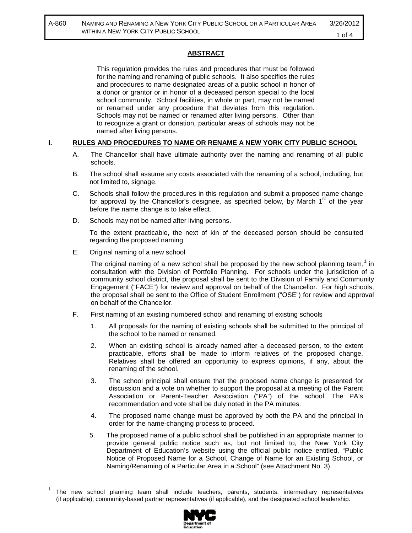# **ABSTRACT**

This regulation provides the rules and procedures that must be followed for the naming and renaming of public schools. It also specifies the rules and procedures to name designated areas of a public school in honor of a donor or grantor or in honor of a deceased person special to the local school community. School facilities, in whole or part, may not be named or renamed under any procedure that deviates from this regulation. Schools may not be named or renamed after living persons. Other than to recognize a grant or donation, particular areas of schools may not be named after living persons.

#### **I. RULES AND PROCEDURES TO NAME OR RENAME A NEW YORK CITY PUBLIC SCHOOL**

- A. The Chancellor shall have ultimate authority over the naming and renaming of all public schools.
- B. The school shall assume any costs associated with the renaming of a school, including, but not limited to, signage.
- C. Schools shall follow the procedures in this regulation and submit a proposed name change for approval by the Chancellor's designee, as specified below, by March  $1<sup>st</sup>$  of the year before the name change is to take effect.
- D. Schools may not be named after living persons.

To the extent practicable, the next of kin of the deceased person should be consulted regarding the proposed naming.

E. Original naming of a new school

The original naming of a new school shall be proposed by the new school planning team,<sup>[1](#page-1-0)</sup> in consultation with the Division of Portfolio Planning. For schools under the jurisdiction of a community school district, the proposal shall be sent to the Division of Family and Community Engagement ("FACE") for review and approval on behalf of the Chancellor. For high schools, the proposal shall be sent to the Office of Student Enrollment ("OSE") for review and approval on behalf of the Chancellor.

- F. First naming of an existing numbered school and renaming of existing schools
	- 1. All proposals for the naming of existing schools shall be submitted to the principal of the school to be named or renamed.
	- 2. When an existing school is already named after a deceased person, to the extent practicable, efforts shall be made to inform relatives of the proposed change. Relatives shall be offered an opportunity to express opinions, if any, about the renaming of the school.
	- 3. The school principal shall ensure that the proposed name change is presented for discussion and a vote on whether to support the proposal at a meeting of the Parent Association or Parent-Teacher Association ("PA") of the school. The PA's recommendation and vote shall be duly noted in the PA minutes.
	- 4. The proposed name change must be approved by both the PA and the principal in order for the name-changing process to proceed.
	- 5. The proposed name of a public school shall be published in an appropriate manner to provide general public notice such as, but not limited to, the New York City Department of Education's website using the official public notice entitled, "Public Notice of Proposed Name for a School, Change of Name for an Existing School, or Naming/Renaming of a Particular Area in a School" (see Attachment No. 3).

<span id="page-1-0"></span> <sup>1</sup> The new school planning team shall include teachers, parents, students, intermediary representatives (if applicable), community-based partner representatives (if applicable), and the designated school leadership.

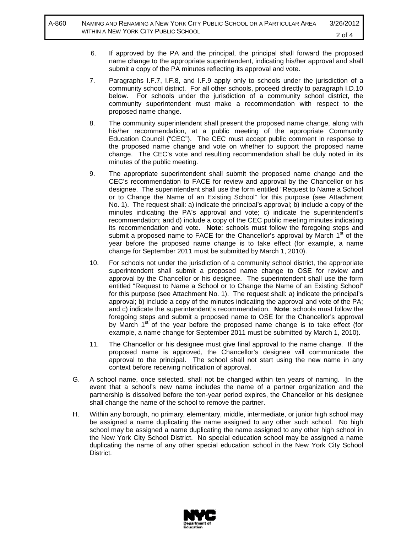- 6. If approved by the PA and the principal, the principal shall forward the proposed name change to the appropriate superintendent, indicating his/her approval and shall submit a copy of the PA minutes reflecting its approval and vote.
- 7. Paragraphs I.F.7, I.F.8, and I.F.9 apply only to schools under the jurisdiction of a community school district. For all other schools, proceed directly to paragraph I.D.10 below. For schools under the jurisdiction of a community school district, the community superintendent must make a recommendation with respect to the proposed name change.
- 8. The community superintendent shall present the proposed name change, along with his/her recommendation, at a public meeting of the appropriate Community Education Council ("CEC"). The CEC must accept public comment in response to the proposed name change and vote on whether to support the proposed name change. The CEC's vote and resulting recommendation shall be duly noted in its minutes of the public meeting.
- 9. The appropriate superintendent shall submit the proposed name change and the CEC's recommendation to FACE for review and approval by the Chancellor or his designee. The superintendent shall use the form entitled "Request to Name a School or to Change the Name of an Existing School" for this purpose (see Attachment No. 1). The request shall: a) indicate the principal's approval; b) include a copy of the minutes indicating the PA's approval and vote; c) indicate the superintendent's recommendation; and d) include a copy of the CEC public meeting minutes indicating its recommendation and vote. **Note**: schools must follow the foregoing steps and submit a proposed name to FACE for the Chancellor's approval by March  $1<sup>st</sup>$  of the year before the proposed name change is to take effect (for example, a name change for September 2011 must be submitted by March 1, 2010).
- 10. For schools not under the jurisdiction of a community school district, the appropriate superintendent shall submit a proposed name change to OSE for review and approval by the Chancellor or his designee. The superintendent shall use the form entitled "Request to Name a School or to Change the Name of an Existing School" for this purpose (see Attachment No. 1). The request shall: a) indicate the principal's approval; b) include a copy of the minutes indicating the approval and vote of the PA; and c) indicate the superintendent's recommendation. **Note**: schools must follow the foregoing steps and submit a proposed name to OSE for the Chancellor's approval by March  $1<sup>st</sup>$  of the year before the proposed name change is to take effect (for example, a name change for September 2011 must be submitted by March 1, 2010).
- 11. The Chancellor or his designee must give final approval to the name change. If the proposed name is approved, the Chancellor's designee will communicate the approval to the principal. The school shall not start using the new name in any context before receiving notification of approval.
- G. A school name, once selected, shall not be changed within ten years of naming. In the event that a school's new name includes the name of a partner organization and the partnership is dissolved before the ten-year period expires, the Chancellor or his designee shall change the name of the school to remove the partner.
- H. Within any borough, no primary, elementary, middle, intermediate, or junior high school may be assigned a name duplicating the name assigned to any other such school. No high school may be assigned a name duplicating the name assigned to any other high school in the New York City School District. No special education school may be assigned a name duplicating the name of any other special education school in the New York City School District.

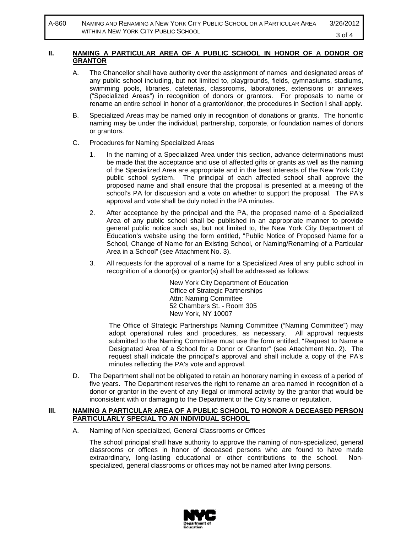A-860 NAMING AND RENAMING A NEW YORK CITY PUBLIC SCHOOL OR A PARTICULAR AREA WITHIN A NEW YORK CITY PUBLIC SCHOOL 3/26/2012 3 of 4

#### **II. NAMING A PARTICULAR AREA OF A PUBLIC SCHOOL IN HONOR OF A DONOR OR GRANTOR**

- A. The Chancellor shall have authority over the assignment of names and designated areas of any public school including, but not limited to, playgrounds, fields, gymnasiums, stadiums, swimming pools, libraries, cafeterias, classrooms, laboratories, extensions or annexes ("Specialized Areas") in recognition of donors or grantors. For proposals to name or rename an entire school in honor of a grantor/donor, the procedures in Section I shall apply.
- B. Specialized Areas may be named only in recognition of donations or grants. The honorific naming may be under the individual, partnership, corporate, or foundation names of donors or grantors.
- C. Procedures for Naming Specialized Areas
	- 1. In the naming of a Specialized Area under this section, advance determinations must be made that the acceptance and use of affected gifts or grants as well as the naming of the Specialized Area are appropriate and in the best interests of the New York City public school system. The principal of each affected school shall approve the proposed name and shall ensure that the proposal is presented at a meeting of the school's PA for discussion and a vote on whether to support the proposal. The PA's approval and vote shall be duly noted in the PA minutes.
	- 2. After acceptance by the principal and the PA, the proposed name of a Specialized Area of any public school shall be published in an appropriate manner to provide general public notice such as, but not limited to, the New York City Department of Education's website using the form entitled, "Public Notice of Proposed Name for a School, Change of Name for an Existing School, or Naming/Renaming of a Particular Area in a School" (see Attachment No. 3).
	- 3. All requests for the approval of a name for a Specialized Area of any public school in recognition of a donor(s) or grantor(s) shall be addressed as follows:

New York City Department of Education Office of Strategic Partnerships Attn: Naming Committee 52 Chambers St. - Room 305 New York, NY 10007

The Office of Strategic Partnerships Naming Committee ("Naming Committee") may adopt operational rules and procedures, as necessary. All approval requests submitted to the Naming Committee must use the form entitled, "Request to Name a Designated Area of a School for a Donor or Grantor" (see Attachment No. 2). The request shall indicate the principal's approval and shall include a copy of the PA's minutes reflecting the PA's vote and approval.

D. The Department shall not be obligated to retain an honorary naming in excess of a period of five years. The Department reserves the right to rename an area named in recognition of a donor or grantor in the event of any illegal or immoral activity by the grantor that would be inconsistent with or damaging to the Department or the City's name or reputation.

#### **III. NAMING A PARTICULAR AREA OF A PUBLIC SCHOOL TO HONOR A DECEASED PERSON PARTICULARLY SPECIAL TO AN INDIVIDUAL SCHOOL**

A. Naming of Non-specialized, General Classrooms or Offices

The school principal shall have authority to approve the naming of non-specialized, general classrooms or offices in honor of deceased persons who are found to have made extraordinary, long-lasting educational or other contributions to the school. Nonspecialized, general classrooms or offices may not be named after living persons.

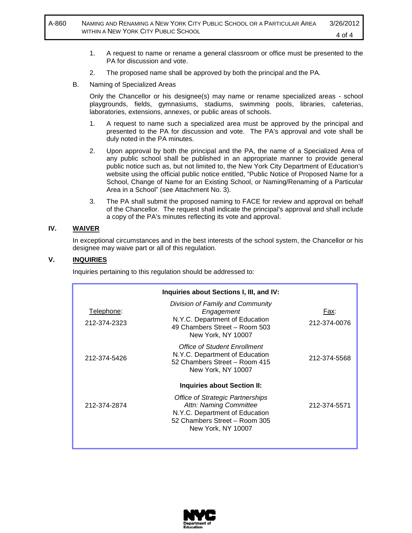- 1. A request to name or rename a general classroom or office must be presented to the PA for discussion and vote.
- 2. The proposed name shall be approved by both the principal and the PA.
- B. Naming of Specialized Areas

Only the Chancellor or his designee(s) may name or rename specialized areas - school playgrounds, fields, gymnasiums, stadiums, swimming pools, libraries, cafeterias, laboratories, extensions, annexes, or public areas of schools.

- 1. A request to name such a specialized area must be approved by the principal and presented to the PA for discussion and vote. The PA's approval and vote shall be duly noted in the PA minutes.
- 2. Upon approval by both the principal and the PA, the name of a Specialized Area of any public school shall be published in an appropriate manner to provide general public notice such as, but not limited to, the New York City Department of Education's website using the official public notice entitled, "Public Notice of Proposed Name for a School, Change of Name for an Existing School, or Naming/Renaming of a Particular Area in a School" (see Attachment No. 3).
- 3. The PA shall submit the proposed naming to FACE for review and approval on behalf of the Chancellor. The request shall indicate the principal's approval and shall include a copy of the PA's minutes reflecting its vote and approval.

#### **IV. WAIVER**

In exceptional circumstances and in the best interests of the school system, the Chancellor or his designee may waive part or all of this regulation.

#### **V. INQUIRIES**

Inquiries pertaining to this regulation should be addressed to:

|                            | Inquiries about Sections I, III, and IV:                                                                                                            |                      |
|----------------------------|-----------------------------------------------------------------------------------------------------------------------------------------------------|----------------------|
| Telephone:<br>212-374-2323 | Division of Family and Community<br>Engagement<br>N.Y.C. Department of Education<br>49 Chambers Street - Room 503<br>New York, NY 10007             | Fax:<br>212-374-0076 |
| 212-374-5426               | Office of Student Enrollment<br>N.Y.C. Department of Education<br>52 Chambers Street - Room 415<br>New York, NY 10007                               | 212-374-5568         |
|                            | <b>Inquiries about Section II:</b>                                                                                                                  |                      |
| 212-374-2874               | Office of Strategic Partnerships<br>Attn: Naming Committee<br>N.Y.C. Department of Education<br>52 Chambers Street - Room 305<br>New York, NY 10007 | 212-374-5571         |
|                            |                                                                                                                                                     |                      |

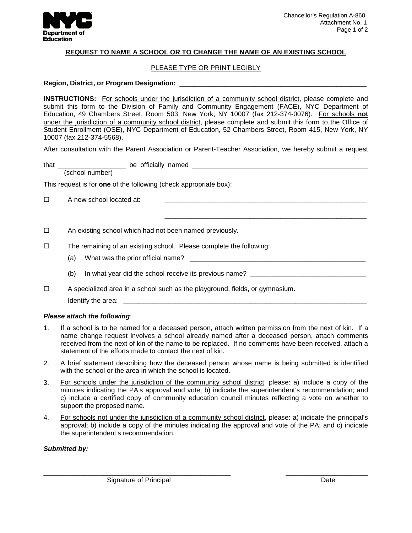

## **REQUEST TO NAME A SCHOOL OR TO CHANGE THE NAME OF AN EXISTING SCHOOL**

#### PLEASE TYPE OR PRINT LEGIBLY

#### **Region, District, or Program Designation:** \_\_\_\_\_\_\_\_\_\_\_\_\_\_\_\_\_\_\_\_\_\_\_\_\_\_\_\_\_\_\_\_\_\_\_\_\_\_\_\_\_\_\_\_\_\_\_\_\_\_

**INSTRUCTIONS:** For schools under the jurisdiction of a community school district, please complete and submit this form to the Division of Family and Community Engagement (FACE), NYC Department of Education, 49 Chambers Street, Room 503, New York, NY 10007 (fax 212-374-0076). For schools **not** under the jurisdiction of a community school district, please complete and submit this form to the Office of Student Enrollment (OSE), NYC Department of Education, 52 Chambers Street, Room 415, New York, NY 10007 (fax 212-374-5568).

After consultation with the Parent Association or Parent-Teacher Association, we hereby submit a request

\_\_\_\_\_\_\_\_\_\_\_\_\_\_\_\_\_\_\_\_\_\_\_\_\_\_\_\_\_\_\_\_\_\_\_\_\_\_\_\_\_\_\_\_\_\_\_\_\_\_\_\_\_\_

| tha<br>_________ | oе. | $- - -$ | . .<br>ı |  |
|------------------|-----|---------|----------|--|
| c<br>⊶<br>.      |     |         |          |  |

This request is for **one** of the following (check appropriate box):

 $\Box$  A new school located at:

- $\Box$  An existing school which had not been named previously.
- $\square$  The remaining of an existing school. Please complete the following:
	- (a) What was the prior official name? \_\_\_\_\_\_\_\_\_\_\_\_\_\_\_\_\_\_\_\_\_\_\_\_\_\_\_\_\_\_\_\_\_\_\_\_\_\_\_\_\_\_\_\_\_\_\_
	- (b) In what year did the school receive its previous name?
- $\Box$  A specialized area in a school such as the playground, fields, or gymnasium.

Identify the area:  $\blacksquare$ 

## *Please attach the following*:

- 1. If a school is to be named for a deceased person, attach written permission from the next of kin. If a name change request involves a school already named after a deceased person, attach comments received from the next of kin of the name to be replaced. If no comments have been received, attach a statement of the efforts made to contact the next of kin.
- 2. A brief statement describing how the deceased person whose name is being submitted is identified with the school or the area in which the school is located.
- 3. For schools under the jurisdiction of the community school district, please: a) include a copy of the minutes indicating the PA's approval and vote; b) indicate the superintendent's recommendation; and c) include a certified copy of community education council minutes reflecting a vote on whether to support the proposed name.
- 4. For schools not under the jurisdiction of a community school district , please: a) indicate the principal's approval; b) include a copy of the minutes indicating the approval and vote of the PA; and c) indicate the superintendent's recommendation.

\_\_\_\_\_\_\_\_\_\_\_\_\_\_\_\_\_\_\_\_\_\_\_\_\_\_\_\_\_\_\_\_\_\_\_\_\_\_\_\_\_\_\_\_\_\_\_\_\_\_ \_\_\_\_\_\_\_\_\_\_\_\_\_\_\_\_\_\_\_\_\_\_

## *Submitted by:*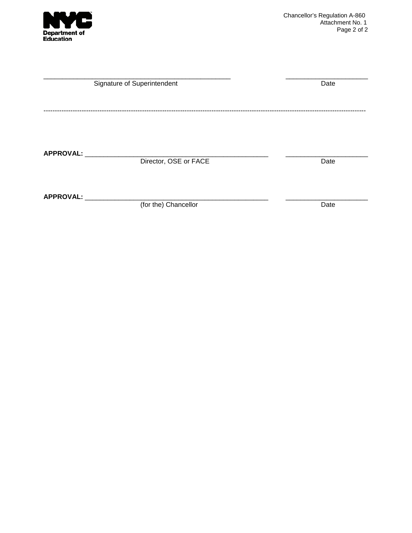

| Signature of Superintendent | Date                  |      |
|-----------------------------|-----------------------|------|
|                             |                       |      |
|                             |                       |      |
|                             |                       |      |
| APPROVAL:                   | Director, OSE or FACE | Date |
|                             |                       |      |
| APPROVAL:                   |                       |      |
|                             | (for the) Chancellor  | Date |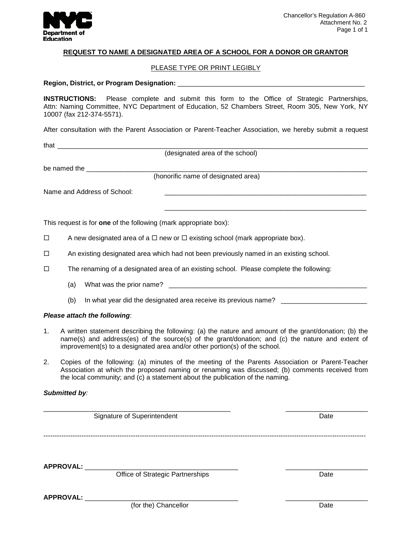

## **REQUEST TO NAME A DESIGNATED AREA OF A SCHOOL FOR A DONOR OR GRANTOR**

#### PLEASE TYPE OR PRINT LEGIBLY

#### **Region, District, or Program Designation:** \_\_\_\_\_\_\_\_\_\_\_\_\_\_\_\_\_\_\_\_\_\_\_\_\_\_\_\_\_\_\_\_\_\_\_\_\_\_\_\_\_\_\_\_\_\_\_\_\_\_

**INSTRUCTIONS:** Please complete and submit this form to the Office of Strategic Partnerships, Attn: Naming Committee, NYC Department of Education, 52 Chambers Street, Room 305, New York, NY 10007 (fax 212-374-5571).

After consultation with the Parent Association or Parent-Teacher Association, we hereby submit a request

| that | _____ |
|------|-------|
|      |       |

(designated area of the school)

be named the

(honorific name of designated area)

\_\_\_\_\_\_\_\_\_\_\_\_\_\_\_\_\_\_\_\_\_\_\_\_\_\_\_\_\_\_\_\_\_\_\_\_\_\_\_\_\_\_\_\_\_\_\_\_\_\_\_\_\_\_

Name and Address of School:

This request is for **one** of the following (mark appropriate box):

- $\Box$  A new designated area of a  $\Box$  new or  $\Box$  existing school (mark appropriate box).
- $\Box$  An existing designated area which had not been previously named in an existing school.
- $\Box$  The renaming of a designated area of an existing school. Please complete the following:
	- (a) What was the prior name? \_\_\_\_\_\_\_\_\_\_\_\_\_\_\_\_\_\_\_\_\_\_\_\_\_\_\_\_\_\_\_\_\_\_\_\_\_\_\_\_\_\_\_\_\_\_\_\_\_\_\_\_\_
	- (b) In what year did the designated area receive its previous name?

#### *Please attach the following*:

- 1. A written statement describing the following: (a) the nature and amount of the grant/donation; (b) the name(s) and address(es) of the source(s) of the grant/donation; and (c) the nature and extent of improvement(s) to a designated area and/or other portion(s) of the school.
- 2. Copies of the following: (a) minutes of the meeting of the Parents Association or Parent-Teacher Association at which the proposed naming or renaming was discussed; (b) comments received from the local community; and (c) a statement about the publication of the naming.

## *Submitted by:*

| Signature of Superintendent |                                  | Date |  |
|-----------------------------|----------------------------------|------|--|
|                             |                                  |      |  |
|                             |                                  |      |  |
| <b>APPROVAL:</b>            |                                  |      |  |
|                             | Office of Strategic Partnerships | Date |  |
| <b>APPROVAL:</b>            |                                  |      |  |
|                             | (for the) Chancellor             | Date |  |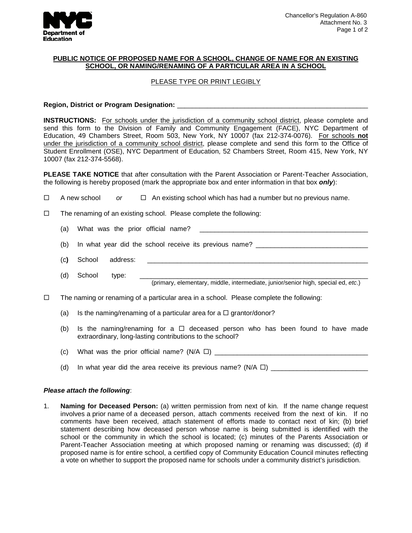

## **PUBLIC NOTICE OF PROPOSED NAME FOR A SCHOOL, CHANGE OF NAME FOR AN EXISTING SCHOOL, OR NAMING/RENAMING OF A PARTICULAR AREA IN A SCHOOL**

# PLEASE TYPE OR PRINT LEGIBLY

# Region, District or Program Designation:

**INSTRUCTIONS:** For schools under the jurisdiction of a community school district, please complete and send this form to the Division of Family and Community Engagement (FACE), NYC Department of Education, 49 Chambers Street, Room 503, New York, NY 10007 (fax 212-374-0076). For schools **not** under the jurisdiction of a community school district, please complete and send this form to the Office of Student Enrollment (OSE), NYC Department of Education, 52 Chambers Street, Room 415, New York, NY 10007 (fax 212-374-5568).

**PLEASE TAKE NOTICE** that after consultation with the Parent Association or Parent-Teacher Association, the following is hereby proposed (mark the appropriate box and enter information in that box *only*):

- $\Box$  A new school or  $\Box$  An existing school which has had a number but no previous name.
- $\Box$  The renaming of an existing school. Please complete the following:
	- (a) What was the prior official name?
	- (b) In what year did the school receive its previous name? \_\_\_\_\_\_\_\_\_\_\_\_\_\_\_\_\_\_\_\_\_\_\_\_\_\_\_\_\_\_
	- (c**)** School address: \_\_\_\_\_\_\_\_\_\_\_\_\_\_\_\_\_\_\_\_\_\_\_\_\_\_\_\_\_\_\_\_\_\_\_\_\_\_\_\_\_\_\_\_\_\_\_\_\_\_\_\_\_\_\_\_\_\_\_
	- (d) School type: \_\_\_\_\_\_\_\_\_\_\_\_\_\_\_\_\_\_\_\_\_\_\_\_\_\_\_\_\_\_\_\_\_\_\_\_\_\_\_\_\_\_\_\_\_\_\_\_\_\_\_\_\_\_\_\_\_\_\_\_\_ (primary, elementary, middle, intermediate, junior/senior high, special ed, *etc*.)
- $\Box$  The naming or renaming of a particular area in a school. Please complete the following:
	- (a) Is the naming/renaming of a particular area for a  $\Box$  grantor/donor?
	- (b) Is the naming/renaming for a  $\Box$  deceased person who has been found to have made extraordinary, long-lasting contributions to the school?
	- (c) What was the prior official name? (N/A ) \_\_\_\_\_\_\_\_\_\_\_\_\_\_\_\_\_\_\_\_\_\_\_\_\_\_\_\_\_\_\_\_\_\_\_\_\_\_\_\_\_
	- (d) In what year did the area receive its previous name? (N/A  $\Box$ )

#### *Please attach the following*:

1. **Naming for Deceased Person:** (a) written permission from next of kin. If the name change request involves a prior name of a deceased person, attach comments received from the next of kin. If no comments have been received, attach statement of efforts made to contact next of kin; (b) brief statement describing how deceased person whose name is being submitted is identified with the school or the community in which the school is located; (c) minutes of the Parents Association or Parent-Teacher Association meeting at which proposed naming or renaming was discussed; (d) if proposed name is for entire school, a certified copy of Community Education Council minutes reflecting a vote on whether to support the proposed name for schools under a community district's jurisdiction.